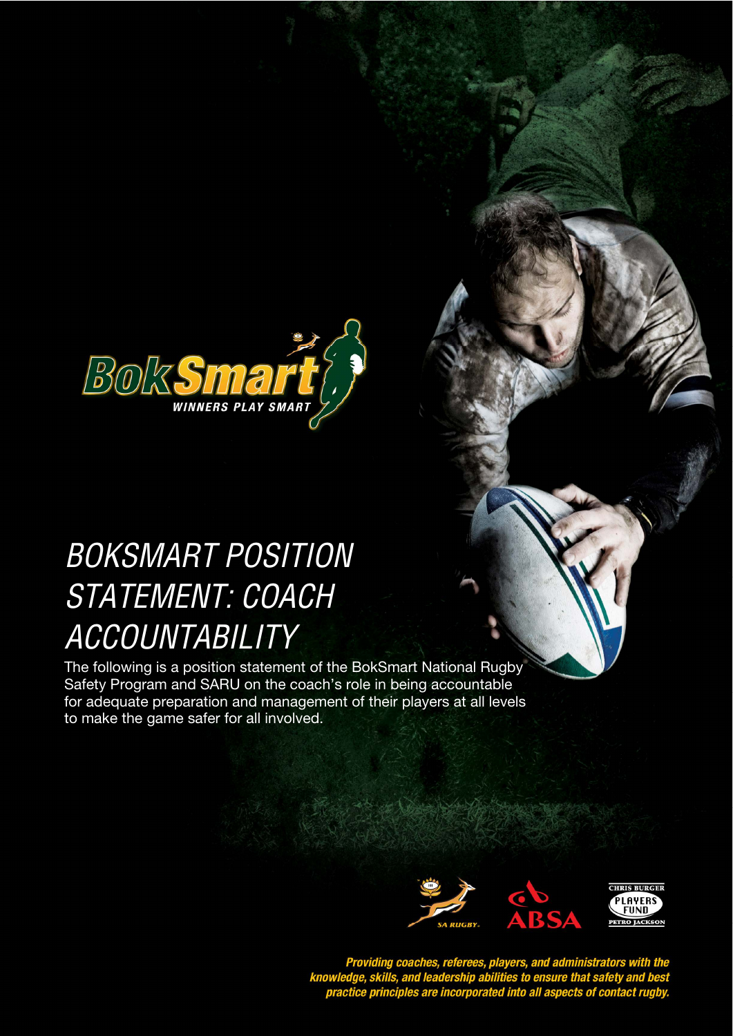

## **BOKSMART POSITION STYLE HEADING FOR TABLES**  STATEMENT: COACH **ACCOUNTABILITY**

The following is a position statement of the BokSmart National Rugby Safety Program and SARU on the coach's role in being accountable for adequate preparation and management of their players at all levels to make the game safer for all involved.



Providing coaches, referees, players, and administrators with the<br>knowledge, skills, and leadership abilities to ensure that safety and best<br>practice principles are incorporated into all aspects of contact rugby.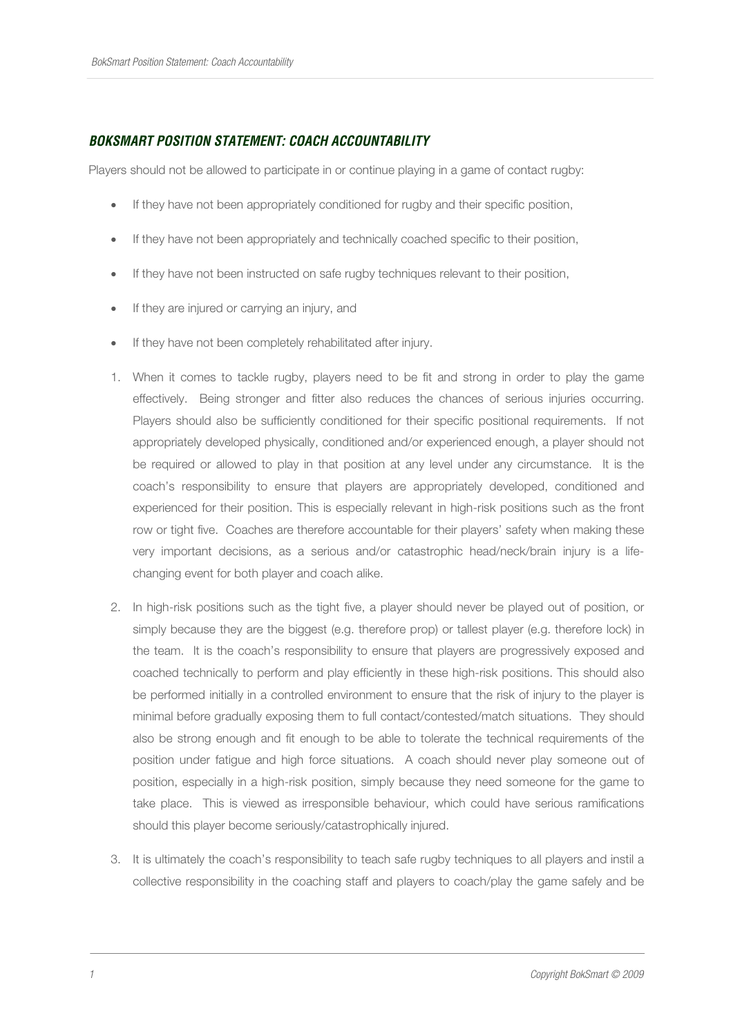## **BOKSMART POSITION STATEMENT: COACH ACCOUNTABILITY**

Players should not be allowed to participate in or continue playing in a game of contact rugby:

- If they have not been appropriately conditioned for rugby and their specific position,
- If they have not been appropriately and technically coached specific to their position,
- If they have not been instructed on safe rugby techniques relevant to their position,
- If they are injured or carrying an injury, and
- If they have not been completely rehabilitated after injury.
- 1. When it comes to tackle rugby, players need to be fit and strong in order to play the game effectively. Being stronger and fitter also reduces the chances of serious injuries occurring. Players should also be sufficiently conditioned for their specific positional requirements. If not appropriately developed physically, conditioned and/or experienced enough, a player should not be required or allowed to play in that position at any level under any circumstance. It is the coach's responsibility to ensure that players are appropriately developed, conditioned and experienced for their position. This is especially relevant in high-risk positions such as the front row or tight five. Coaches are therefore accountable for their players' safety when making these very important decisions, as a serious and/or catastrophic head/neck/brain injury is a lifechanging event for both player and coach alike.
- 2. In high-risk positions such as the tight five, a player should never be played out of position, or simply because they are the biggest (e.g. therefore prop) or tallest player (e.g. therefore lock) in the team. It is the coach's responsibility to ensure that players are progressively exposed and coached technically to perform and play efficiently in these high-risk positions. This should also be performed initially in a controlled environment to ensure that the risk of injury to the player is minimal before gradually exposing them to full contact/contested/match situations. They should also be strong enough and fit enough to be able to tolerate the technical requirements of the position under fatigue and high force situations. A coach should never play someone out of position, especially in a high-risk position, simply because they need someone for the game to take place. This is viewed as irresponsible behaviour, which could have serious ramifications should this player become seriously/catastrophically injured.
- 3. It is ultimately the coach's responsibility to teach safe rugby techniques to all players and instil a collective responsibility in the coaching staff and players to coach/play the game safely and be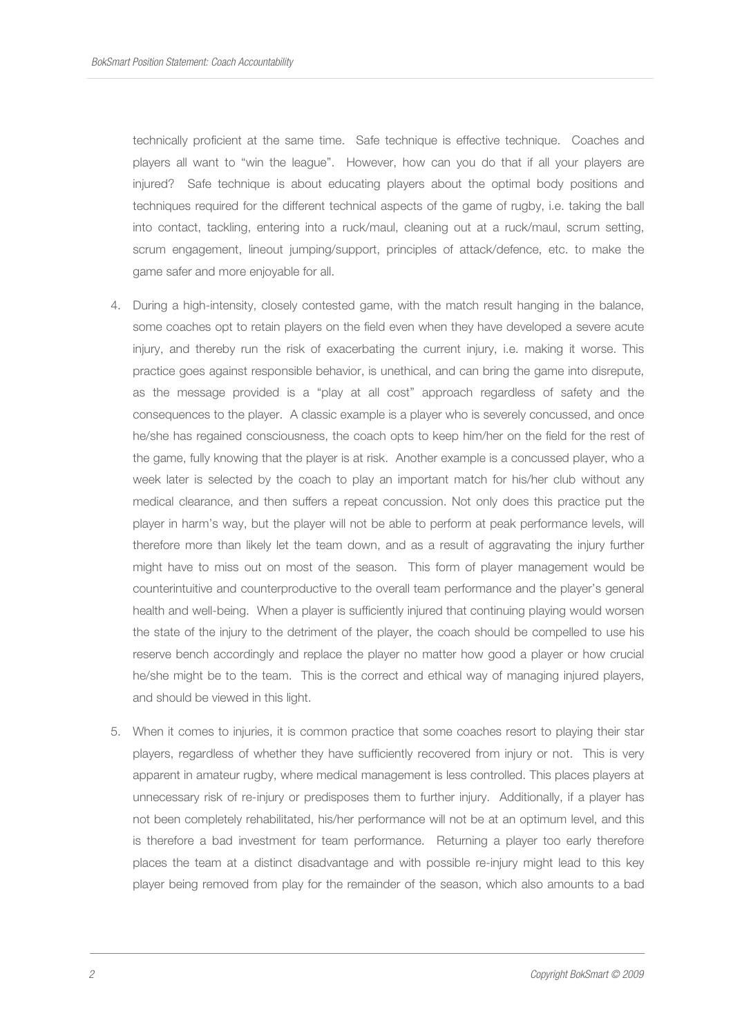technically proficient at the same time. Safe technique is effective technique. Coaches and players all want to "win the league". However, how can you do that if all your players are injured? Safe technique is about educating players about the optimal body positions and techniques required for the different technical aspects of the game of rugby, i.e. taking the ball into contact, tackling, entering into a ruck/maul, cleaning out at a ruck/maul, scrum setting, scrum engagement, lineout jumping/support, principles of attack/defence, etc. to make the game safer and more enjoyable for all.

- 4. During a high-intensity, closely contested game, with the match result hanging in the balance, some coaches opt to retain players on the field even when they have developed a severe acute injury, and thereby run the risk of exacerbating the current injury, i.e. making it worse. This practice goes against responsible behavior, is unethical, and can bring the game into disrepute, as the message provided is a "play at all cost" approach regardless of safety and the consequences to the player. A classic example is a player who is severely concussed, and once he/she has regained consciousness, the coach opts to keep him/her on the field for the rest of the game, fully knowing that the player is at risk. Another example is a concussed player, who a week later is selected by the coach to play an important match for his/her club without any medical clearance, and then suffers a repeat concussion. Not only does this practice put the player in harm's way, but the player will not be able to perform at peak performance levels, will therefore more than likely let the team down, and as a result of aggravating the injury further might have to miss out on most of the season. This form of player management would be counterintuitive and counterproductive to the overall team performance and the player's general health and well-being. When a player is sufficiently injured that continuing playing would worsen the state of the injury to the detriment of the player, the coach should be compelled to use his reserve bench accordingly and replace the player no matter how good a player or how crucial he/she might be to the team. This is the correct and ethical way of managing injured players, and should be viewed in this light.
- 5. When it comes to injuries, it is common practice that some coaches resort to playing their star players, regardless of whether they have sufficiently recovered from injury or not. This is very apparent in amateur rugby, where medical management is less controlled. This places players at unnecessary risk of re-injury or predisposes them to further injury. Additionally, if a player has not been completely rehabilitated, his/her performance will not be at an optimum level, and this is therefore a bad investment for team performance. Returning a player too early therefore places the team at a distinct disadvantage and with possible re-injury might lead to this key player being removed from play for the remainder of the season, which also amounts to a bad